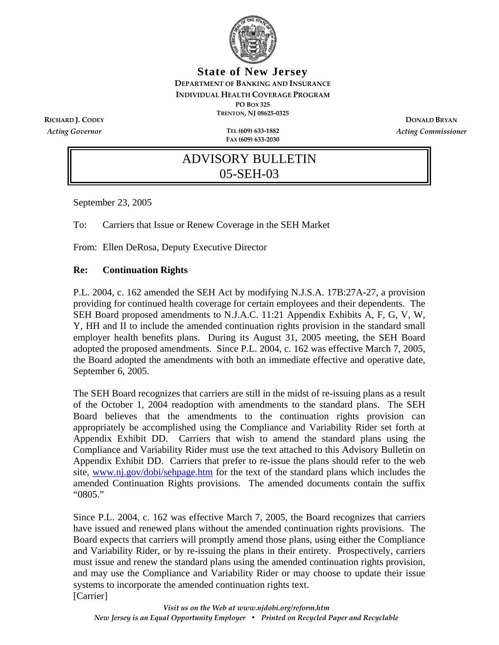

**State of New Jersey DEPARTMENT OF BANKING AND INSURANCE INDIVIDUAL HEALTH COVERAGE PROGRAM PO BOX 325 TRENTON, NJ 08625‐0325 RICHARD J. CODEY DONALD BRYAN**

*Acting Governor* **TEL (609) 633‐1882**

**FAX (609) 633‐2030**

*Acting Commissioner*

# ADVISORY BULLETIN 05-SEH-03

September 23, 2005

To: Carriers that Issue or Renew Coverage in the SEH Market

From: Ellen DeRosa, Deputy Executive Director

#### **Re: Continuation Rights**

P.L. 2004, c. 162 amended the SEH Act by modifying N.J.S.A. 17B:27A-27, a provision providing for continued health coverage for certain employees and their dependents. The SEH Board proposed amendments to N.J.A.C. 11:21 Appendix Exhibits A, F, G, V, W, Y, HH and II to include the amended continuation rights provision in the standard small employer health benefits plans. During its August 31, 2005 meeting, the SEH Board adopted the proposed amendments. Since P.L. 2004, c. 162 was effective March 7, 2005, the Board adopted the amendments with both an immediate effective and operative date, September 6, 2005.

The SEH Board recognizes that carriers are still in the midst of re-issuing plans as a result of the October 1, 2004 readoption with amendments to the standard plans. The SEH Board believes that the amendments to the continuation rights provision can appropriately be accomplished using the Compliance and Variability Rider set forth at Appendix Exhibit DD. Carriers that wish to amend the standard plans using the Compliance and Variability Rider must use the text attached to this Advisory Bulletin on Appendix Exhibit DD. Carriers that prefer to re-issue the plans should refer to the web site, www.nj.gov/dobi/sehpage.htm for the text of the standard plans which includes the amended Continuation Rights provisions. The amended documents contain the suffix "0805."

Since P.L. 2004, c. 162 was effective March 7, 2005, the Board recognizes that carriers have issued and renewed plans without the amended continuation rights provisions. The Board expects that carriers will promptly amend those plans, using either the Compliance and Variability Rider, or by re-issuing the plans in their entirety. Prospectively, carriers must issue and renew the standard plans using the amended continuation rights provision, and may use the Compliance and Variability Rider or may choose to update their issue systems to incorporate the amended continuation rights text. [Carrier]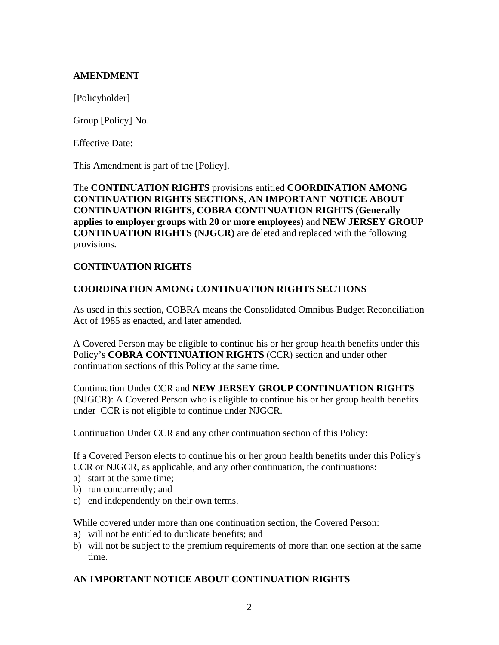## **AMENDMENT**

[Policyholder]

Group [Policy] No.

Effective Date:

This Amendment is part of the [Policy].

## The **CONTINUATION RIGHTS** provisions entitled **COORDINATION AMONG CONTINUATION RIGHTS SECTIONS**, **AN IMPORTANT NOTICE ABOUT CONTINUATION RIGHTS**, **COBRA CONTINUATION RIGHTS (Generally applies to employer groups with 20 or more employees)** and **NEW JERSEY GROUP CONTINUATION RIGHTS (NJGCR)** are deleted and replaced with the following provisions.

## **CONTINUATION RIGHTS**

## **COORDINATION AMONG CONTINUATION RIGHTS SECTIONS**

As used in this section, COBRA means the Consolidated Omnibus Budget Reconciliation Act of 1985 as enacted, and later amended.

A Covered Person may be eligible to continue his or her group health benefits under this Policy's **COBRA CONTINUATION RIGHTS** (CCR) section and under other continuation sections of this Policy at the same time.

Continuation Under CCR and **NEW JERSEY GROUP CONTINUATION RIGHTS** (NJGCR): A Covered Person who is eligible to continue his or her group health benefits under CCR is not eligible to continue under NJGCR.

Continuation Under CCR and any other continuation section of this Policy:

If a Covered Person elects to continue his or her group health benefits under this Policy's CCR or NJGCR, as applicable, and any other continuation, the continuations:

- a) start at the same time;
- b) run concurrently; and
- c) end independently on their own terms.

While covered under more than one continuation section, the Covered Person:

- a) will not be entitled to duplicate benefits; and
- b) will not be subject to the premium requirements of more than one section at the same time.

## **AN IMPORTANT NOTICE ABOUT CONTINUATION RIGHTS**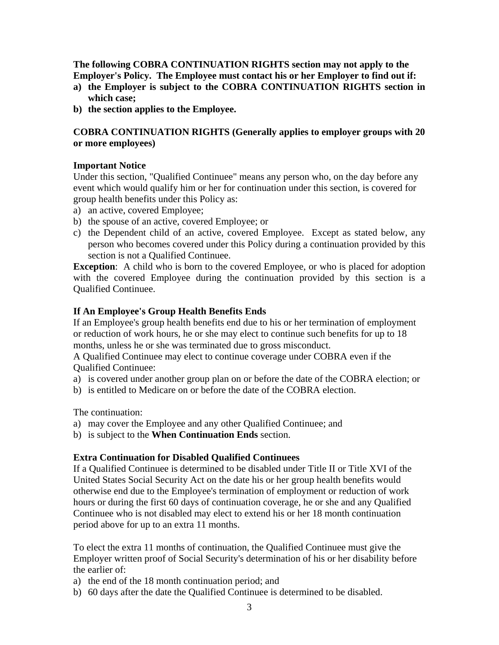**The following COBRA CONTINUATION RIGHTS section may not apply to the Employer's Policy. The Employee must contact his or her Employer to find out if:**

- **a) the Employer is subject to the COBRA CONTINUATION RIGHTS section in which case;**
- **b) the section applies to the Employee.**

# **COBRA CONTINUATION RIGHTS (Generally applies to employer groups with 20 or more employees)**

## **Important Notice**

Under this section, "Qualified Continuee" means any person who, on the day before any event which would qualify him or her for continuation under this section, is covered for group health benefits under this Policy as:

- a) an active, covered Employee;
- b) the spouse of an active, covered Employee; or
- c) the Dependent child of an active, covered Employee. Except as stated below, any person who becomes covered under this Policy during a continuation provided by this section is not a Qualified Continuee.

**Exception**: A child who is born to the covered Employee, or who is placed for adoption with the covered Employee during the continuation provided by this section is a Qualified Continuee.

## **If An Employee's Group Health Benefits Ends**

If an Employee's group health benefits end due to his or her termination of employment or reduction of work hours, he or she may elect to continue such benefits for up to 18 months, unless he or she was terminated due to gross misconduct.

A Qualified Continuee may elect to continue coverage under COBRA even if the Qualified Continuee:

- a) is covered under another group plan on or before the date of the COBRA election; or
- b) is entitled to Medicare on or before the date of the COBRA election.

The continuation:

- a) may cover the Employee and any other Qualified Continuee; and
- b) is subject to the **When Continuation Ends** section.

## **Extra Continuation for Disabled Qualified Continuees**

If a Qualified Continuee is determined to be disabled under Title II or Title XVI of the United States Social Security Act on the date his or her group health benefits would otherwise end due to the Employee's termination of employment or reduction of work hours or during the first 60 days of continuation coverage, he or she and any Qualified Continuee who is not disabled may elect to extend his or her 18 month continuation period above for up to an extra 11 months.

To elect the extra 11 months of continuation, the Qualified Continuee must give the Employer written proof of Social Security's determination of his or her disability before the earlier of:

- a) the end of the 18 month continuation period; and
- b) 60 days after the date the Qualified Continuee is determined to be disabled.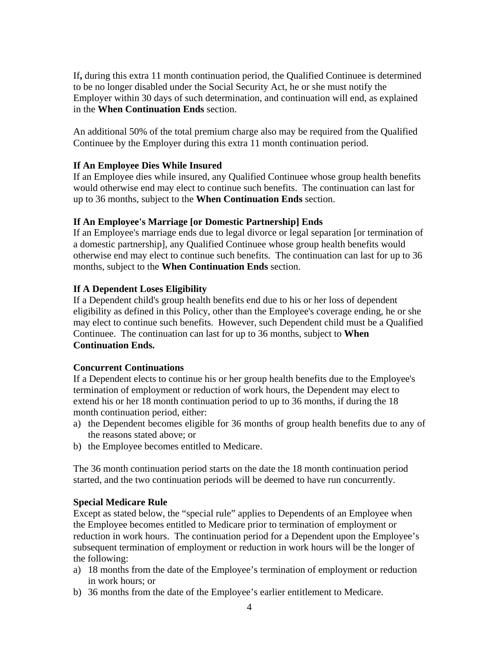If**,** during this extra 11 month continuation period, the Qualified Continuee is determined to be no longer disabled under the Social Security Act, he or she must notify the Employer within 30 days of such determination, and continuation will end, as explained in the **When Continuation Ends** section.

An additional 50% of the total premium charge also may be required from the Qualified Continuee by the Employer during this extra 11 month continuation period.

## **If An Employee Dies While Insured**

If an Employee dies while insured, any Qualified Continuee whose group health benefits would otherwise end may elect to continue such benefits. The continuation can last for up to 36 months, subject to the **When Continuation Ends** section.

#### **If An Employee's Marriage [or Domestic Partnership] Ends**

If an Employee's marriage ends due to legal divorce or legal separation [or termination of a domestic partnership], any Qualified Continuee whose group health benefits would otherwise end may elect to continue such benefits. The continuation can last for up to 36 months, subject to the **When Continuation Ends** section.

#### **If A Dependent Loses Eligibility**

If a Dependent child's group health benefits end due to his or her loss of dependent eligibility as defined in this Policy, other than the Employee's coverage ending, he or she may elect to continue such benefits. However, such Dependent child must be a Qualified Continuee. The continuation can last for up to 36 months, subject to **When Continuation Ends.**

## **Concurrent Continuations**

If a Dependent elects to continue his or her group health benefits due to the Employee's termination of employment or reduction of work hours, the Dependent may elect to extend his or her 18 month continuation period to up to 36 months, if during the 18 month continuation period, either:

- a) the Dependent becomes eligible for 36 months of group health benefits due to any of the reasons stated above; or
- b) the Employee becomes entitled to Medicare.

The 36 month continuation period starts on the date the 18 month continuation period started, and the two continuation periods will be deemed to have run concurrently.

#### **Special Medicare Rule**

Except as stated below, the "special rule" applies to Dependents of an Employee when the Employee becomes entitled to Medicare prior to termination of employment or reduction in work hours. The continuation period for a Dependent upon the Employee's subsequent termination of employment or reduction in work hours will be the longer of the following:

- a) 18 months from the date of the Employee's termination of employment or reduction in work hours; or
- b) 36 months from the date of the Employee's earlier entitlement to Medicare.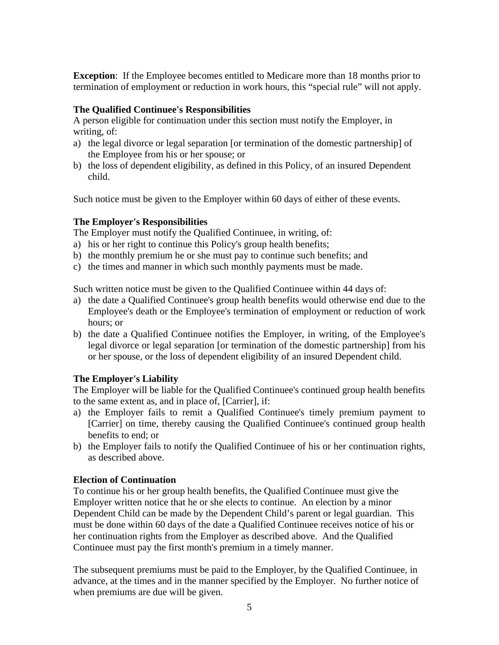**Exception:** If the Employee becomes entitled to Medicare more than 18 months prior to termination of employment or reduction in work hours, this "special rule" will not apply.

#### **The Qualified Continuee's Responsibilities**

A person eligible for continuation under this section must notify the Employer, in writing, of:

- a) the legal divorce or legal separation [or termination of the domestic partnership] of the Employee from his or her spouse; or
- b) the loss of dependent eligibility, as defined in this Policy, of an insured Dependent child.

Such notice must be given to the Employer within 60 days of either of these events.

## **The Employer's Responsibilities**

The Employer must notify the Qualified Continuee, in writing, of:

- a) his or her right to continue this Policy's group health benefits;
- b) the monthly premium he or she must pay to continue such benefits; and
- c) the times and manner in which such monthly payments must be made.

Such written notice must be given to the Qualified Continuee within 44 days of:

- a) the date a Qualified Continuee's group health benefits would otherwise end due to the Employee's death or the Employee's termination of employment or reduction of work hours; or
- b) the date a Qualified Continuee notifies the Employer, in writing, of the Employee's legal divorce or legal separation [or termination of the domestic partnership] from his or her spouse, or the loss of dependent eligibility of an insured Dependent child.

## **The Employer's Liability**

The Employer will be liable for the Qualified Continuee's continued group health benefits to the same extent as, and in place of, [Carrier], if:

- a) the Employer fails to remit a Qualified Continuee's timely premium payment to [Carrier] on time, thereby causing the Qualified Continuee's continued group health benefits to end; or
- b) the Employer fails to notify the Qualified Continuee of his or her continuation rights, as described above.

## **Election of Continuation**

To continue his or her group health benefits, the Qualified Continuee must give the Employer written notice that he or she elects to continue. An election by a minor Dependent Child can be made by the Dependent Child's parent or legal guardian. This must be done within 60 days of the date a Qualified Continuee receives notice of his or her continuation rights from the Employer as described above. And the Qualified Continuee must pay the first month's premium in a timely manner.

The subsequent premiums must be paid to the Employer, by the Qualified Continuee, in advance, at the times and in the manner specified by the Employer. No further notice of when premiums are due will be given.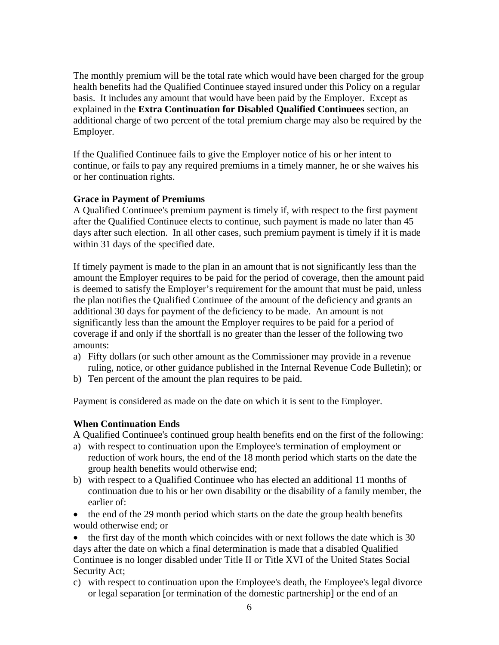The monthly premium will be the total rate which would have been charged for the group health benefits had the Qualified Continuee stayed insured under this Policy on a regular basis. It includes any amount that would have been paid by the Employer. Except as explained in the **Extra Continuation for Disabled Qualified Continuees** section, an additional charge of two percent of the total premium charge may also be required by the Employer.

If the Qualified Continuee fails to give the Employer notice of his or her intent to continue, or fails to pay any required premiums in a timely manner, he or she waives his or her continuation rights.

## **Grace in Payment of Premiums**

A Qualified Continuee's premium payment is timely if, with respect to the first payment after the Qualified Continuee elects to continue, such payment is made no later than 45 days after such election. In all other cases, such premium payment is timely if it is made within 31 days of the specified date.

If timely payment is made to the plan in an amount that is not significantly less than the amount the Employer requires to be paid for the period of coverage, then the amount paid is deemed to satisfy the Employer's requirement for the amount that must be paid, unless the plan notifies the Qualified Continuee of the amount of the deficiency and grants an additional 30 days for payment of the deficiency to be made. An amount is not significantly less than the amount the Employer requires to be paid for a period of coverage if and only if the shortfall is no greater than the lesser of the following two amounts:

- a) Fifty dollars (or such other amount as the Commissioner may provide in a revenue ruling, notice, or other guidance published in the Internal Revenue Code Bulletin); or
- b) Ten percent of the amount the plan requires to be paid.

Payment is considered as made on the date on which it is sent to the Employer.

#### **When Continuation Ends**

A Qualified Continuee's continued group health benefits end on the first of the following:

- a) with respect to continuation upon the Employee's termination of employment or reduction of work hours, the end of the 18 month period which starts on the date the group health benefits would otherwise end;
- b) with respect to a Qualified Continuee who has elected an additional 11 months of continuation due to his or her own disability or the disability of a family member, the earlier of:
- the end of the 29 month period which starts on the date the group health benefits would otherwise end; or

• the first day of the month which coincides with or next follows the date which is 30 days after the date on which a final determination is made that a disabled Qualified Continuee is no longer disabled under Title II or Title XVI of the United States Social Security Act;

c) with respect to continuation upon the Employee's death, the Employee's legal divorce or legal separation [or termination of the domestic partnership] or the end of an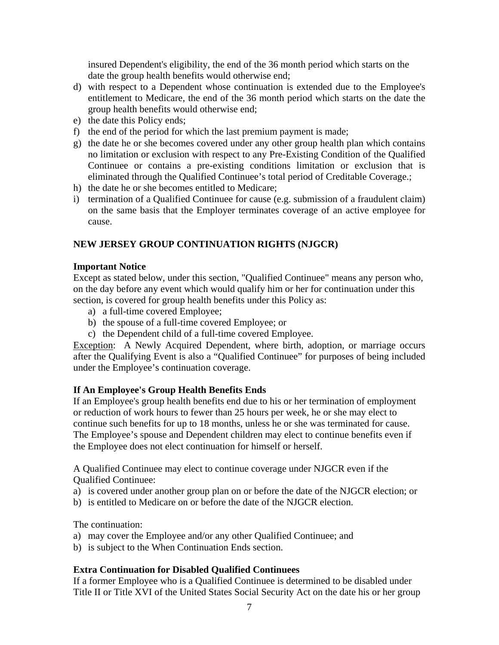insured Dependent's eligibility, the end of the 36 month period which starts on the date the group health benefits would otherwise end;

- d) with respect to a Dependent whose continuation is extended due to the Employee's entitlement to Medicare, the end of the 36 month period which starts on the date the group health benefits would otherwise end;
- e) the date this Policy ends;
- f) the end of the period for which the last premium payment is made;
- g) the date he or she becomes covered under any other group health plan which contains no limitation or exclusion with respect to any Pre-Existing Condition of the Qualified Continuee or contains a pre-existing conditions limitation or exclusion that is eliminated through the Qualified Continuee's total period of Creditable Coverage.;
- h) the date he or she becomes entitled to Medicare;
- i) termination of a Qualified Continuee for cause (e.g. submission of a fraudulent claim) on the same basis that the Employer terminates coverage of an active employee for cause.

## **NEW JERSEY GROUP CONTINUATION RIGHTS (NJGCR)**

#### **Important Notice**

Except as stated below, under this section, "Qualified Continuee" means any person who, on the day before any event which would qualify him or her for continuation under this section, is covered for group health benefits under this Policy as:

- a) a full-time covered Employee;
- b) the spouse of a full-time covered Employee; or
- c) the Dependent child of a full-time covered Employee.

Exception: A Newly Acquired Dependent, where birth, adoption, or marriage occurs after the Qualifying Event is also a "Qualified Continuee" for purposes of being included under the Employee's continuation coverage.

## **If An Employee's Group Health Benefits Ends**

If an Employee's group health benefits end due to his or her termination of employment or reduction of work hours to fewer than 25 hours per week, he or she may elect to continue such benefits for up to 18 months, unless he or she was terminated for cause. The Employee's spouse and Dependent children may elect to continue benefits even if the Employee does not elect continuation for himself or herself.

A Qualified Continuee may elect to continue coverage under NJGCR even if the Qualified Continuee:

- a) is covered under another group plan on or before the date of the NJGCR election; or
- b) is entitled to Medicare on or before the date of the NJGCR election.

The continuation:

- a) may cover the Employee and/or any other Qualified Continuee; and
- b) is subject to the When Continuation Ends section.

## **Extra Continuation for Disabled Qualified Continuees**

If a former Employee who is a Qualified Continuee is determined to be disabled under Title II or Title XVI of the United States Social Security Act on the date his or her group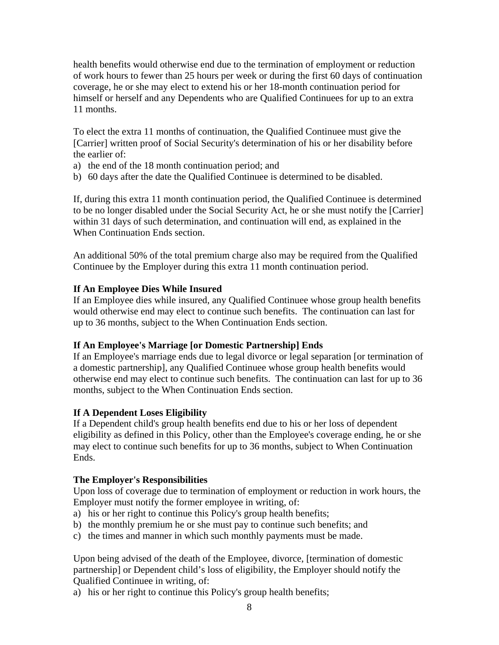health benefits would otherwise end due to the termination of employment or reduction of work hours to fewer than 25 hours per week or during the first 60 days of continuation coverage, he or she may elect to extend his or her 18-month continuation period for himself or herself and any Dependents who are Qualified Continuees for up to an extra 11 months.

To elect the extra 11 months of continuation, the Qualified Continuee must give the [Carrier] written proof of Social Security's determination of his or her disability before the earlier of:

- a) the end of the 18 month continuation period; and
- b) 60 days after the date the Qualified Continuee is determined to be disabled.

If, during this extra 11 month continuation period, the Qualified Continuee is determined to be no longer disabled under the Social Security Act, he or she must notify the [Carrier] within 31 days of such determination, and continuation will end, as explained in the When Continuation Ends section.

An additional 50% of the total premium charge also may be required from the Qualified Continuee by the Employer during this extra 11 month continuation period.

# **If An Employee Dies While Insured**

If an Employee dies while insured, any Qualified Continuee whose group health benefits would otherwise end may elect to continue such benefits. The continuation can last for up to 36 months, subject to the When Continuation Ends section.

## **If An Employee's Marriage [or Domestic Partnership] Ends**

If an Employee's marriage ends due to legal divorce or legal separation [or termination of a domestic partnership], any Qualified Continuee whose group health benefits would otherwise end may elect to continue such benefits. The continuation can last for up to 36 months, subject to the When Continuation Ends section.

## **If A Dependent Loses Eligibility**

If a Dependent child's group health benefits end due to his or her loss of dependent eligibility as defined in this Policy, other than the Employee's coverage ending, he or she may elect to continue such benefits for up to 36 months, subject to When Continuation Ends.

## **The Employer's Responsibilities**

Upon loss of coverage due to termination of employment or reduction in work hours, the Employer must notify the former employee in writing, of:

- a) his or her right to continue this Policy's group health benefits;
- b) the monthly premium he or she must pay to continue such benefits; and
- c) the times and manner in which such monthly payments must be made.

Upon being advised of the death of the Employee, divorce, [termination of domestic partnership] or Dependent child's loss of eligibility, the Employer should notify the Qualified Continuee in writing, of:

a) his or her right to continue this Policy's group health benefits;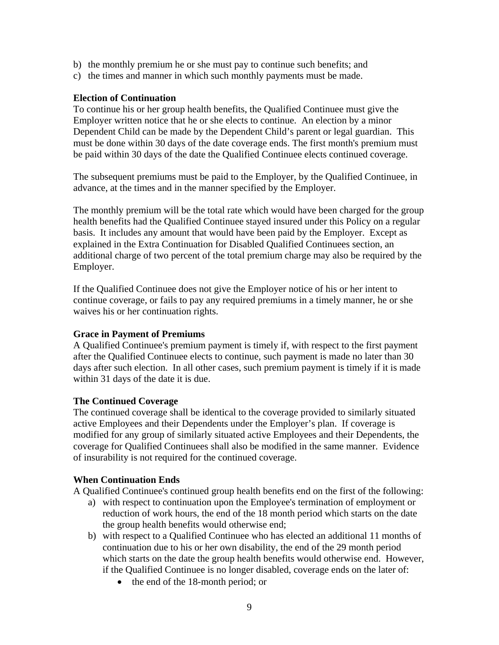- b) the monthly premium he or she must pay to continue such benefits; and
- c) the times and manner in which such monthly payments must be made.

#### **Election of Continuation**

To continue his or her group health benefits, the Qualified Continuee must give the Employer written notice that he or she elects to continue. An election by a minor Dependent Child can be made by the Dependent Child's parent or legal guardian. This must be done within 30 days of the date coverage ends. The first month's premium must be paid within 30 days of the date the Qualified Continuee elects continued coverage.

The subsequent premiums must be paid to the Employer, by the Qualified Continuee, in advance, at the times and in the manner specified by the Employer.

The monthly premium will be the total rate which would have been charged for the group health benefits had the Qualified Continuee stayed insured under this Policy on a regular basis. It includes any amount that would have been paid by the Employer. Except as explained in the Extra Continuation for Disabled Qualified Continuees section, an additional charge of two percent of the total premium charge may also be required by the Employer.

If the Qualified Continuee does not give the Employer notice of his or her intent to continue coverage, or fails to pay any required premiums in a timely manner, he or she waives his or her continuation rights.

#### **Grace in Payment of Premiums**

A Qualified Continuee's premium payment is timely if, with respect to the first payment after the Qualified Continuee elects to continue, such payment is made no later than 30 days after such election. In all other cases, such premium payment is timely if it is made within 31 days of the date it is due.

#### **The Continued Coverage**

The continued coverage shall be identical to the coverage provided to similarly situated active Employees and their Dependents under the Employer's plan. If coverage is modified for any group of similarly situated active Employees and their Dependents, the coverage for Qualified Continuees shall also be modified in the same manner. Evidence of insurability is not required for the continued coverage.

#### **When Continuation Ends**

A Qualified Continuee's continued group health benefits end on the first of the following:

- a) with respect to continuation upon the Employee's termination of employment or reduction of work hours, the end of the 18 month period which starts on the date the group health benefits would otherwise end;
- b) with respect to a Qualified Continuee who has elected an additional 11 months of continuation due to his or her own disability, the end of the 29 month period which starts on the date the group health benefits would otherwise end. However, if the Qualified Continuee is no longer disabled, coverage ends on the later of:
	- the end of the 18-month period; or